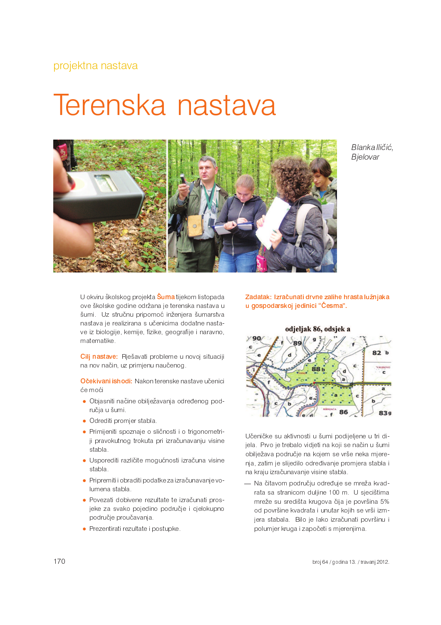## Terenska nastava



Blanka Iličić. Bjelovar

U okviru školskog projekta **Šuma** tijekom listopada ove školske godine održana je terenska nastava u šumi. Uz stručnu pripomoć inženjera šumarstva nastava je realizirana s učenicima dodatne nastave iz biologije, kemije, fizike, geografije i naravno, matematike.

Cilj nastave: Rješavati probleme u novoj situaciji na nov način, uz primjenu naučenog.

Očekivani ishodi: Nakon terenske nastave učenici će moći

- · Objasniti načine obilježavanja određenog područja u šumi.
- · Odrediti promjer stabla.
- · Primijeniti spoznaje o sličnosti i o trigonometriji pravokutnog trokuta pri izračunavanju visine stabla.
- · Usporediti različite mogućnosti izračuna visine stabla.
- · Pripremiti i obraditi podatke za izračunavanje volumena stabla.
- · Povezati dobivene rezultate te izračunati prosjeke za svako pojedino područje i cjelokupno područje proučavanja.
- Prezentirati rezultate i postupke.

Zadatak: Izračunati drvne zalihe hrasta lužnjaka u gospodarskoj jedinici "Česma".



Učeničke su aktivnosti u šumi podijeljene u tri dijela. Prvo je trebalo vidjeti na koji se način u šumi obilježava područje na kojem se vrše neka mjerenja, zatim je slijedilo određivanje promjera stabla i na kraju izračunavanje visine stabla.

- Na čitavom području određuje se mreža kvadrata sa stranicom duljine 100 m. U sjecištima mreže su središta krugova čija je površina 5% od površine kvadrata i unutar kojih se vrši izmjera stabala. Bilo je lako izračunati površinu i polumjer kruga i započeti s mjerenjima.